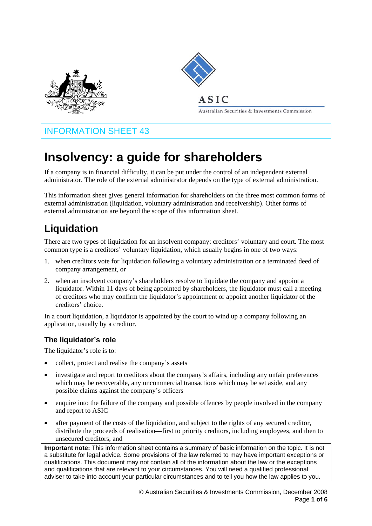



### **ASIC**

Australian Securities & Investments Commission

## INFORMATION SHEET 43

# **Insolvency: a guide for shareholders**

If a company is in financial difficulty, it can be put under the control of an independent external administrator. The role of the external administrator depends on the type of external administration.

This information sheet gives general information for shareholders on the three most common forms of external administration (liquidation, voluntary administration and receivership). Other forms of external administration are beyond the scope of this information sheet.

## **Liquidation**

There are two types of liquidation for an insolvent company: creditors' voluntary and court. The most common type is a creditors' voluntary liquidation, which usually begins in one of two ways:

- 1. when creditors vote for liquidation following a voluntary administration or a terminated deed of company arrangement, or
- 2. when an insolvent company's shareholders resolve to liquidate the company and appoint a liquidator. Within 11 days of being appointed by shareholders, the liquidator must call a meeting of creditors who may confirm the liquidator's appointment or appoint another liquidator of the creditors' choice.

In a court liquidation, a liquidator is appointed by the court to wind up a company following an application, usually by a creditor.

#### **The liquidator's role**

The liquidator's role is to:

- collect, protect and realise the company's assets
- investigate and report to creditors about the company's affairs, including any unfair preferences which may be recoverable, any uncommercial transactions which may be set aside, and any possible claims against the company's officers
- enquire into the failure of the company and possible offences by people involved in the company and report to ASIC
- after payment of the costs of the liquidation, and subject to the rights of any secured creditor, distribute the proceeds of realisation—first to priority creditors, including employees, and then to unsecured creditors, and

**Important note:** This information sheet contains a summary of basic information on the topic. It is not a substitute for legal advice. Some provisions of the law referred to may have important exceptions or qualifications. This document may not contain all of the information about the law or the exceptions and qualifications that are relevant to your circumstances. You will need a qualified professional adviser to take into account your particular circumstances and to tell you how the law applies to you.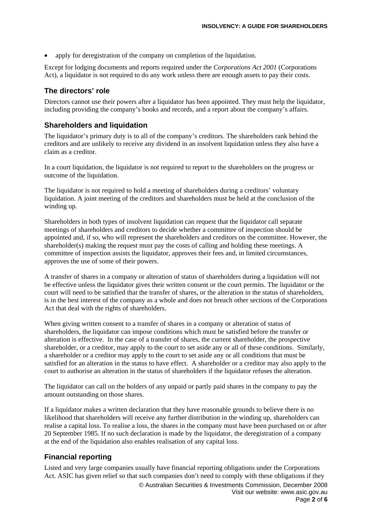apply for deregistration of the company on completion of the liquidation.

Except for lodging documents and reports required under the *Corporations Act 2001* (Corporations Act), a liquidator is not required to do any work unless there are enough assets to pay their costs.

#### **The directors' role**

Directors cannot use their powers after a liquidator has been appointed. They must help the liquidator, including providing the company's books and records, and a report about the company's affairs.

#### **Shareholders and liquidation**

The liquidator's primary duty is to all of the company's creditors. The shareholders rank behind the creditors and are unlikely to receive any dividend in an insolvent liquidation unless they also have a claim as a creditor.

In a court liquidation, the liquidator is not required to report to the shareholders on the progress or outcome of the liquidation.

The liquidator is not required to hold a meeting of shareholders during a creditors' voluntary liquidation. A joint meeting of the creditors and shareholders must be held at the conclusion of the winding up.

Shareholders in both types of insolvent liquidation can request that the liquidator call separate meetings of shareholders and creditors to decide whether a committee of inspection should be appointed and, if so, who will represent the shareholders and creditors on the committee. However, the shareholder(s) making the request must pay the costs of calling and holding these meetings. A committee of inspection assists the liquidator, approves their fees and, in limited circumstances, approves the use of some of their powers.

A transfer of shares in a company or alteration of status of shareholders during a liquidation will not be effective unless the liquidator gives their written consent or the court permits. The liquidator or the court will need to be satisfied that the transfer of shares, or the alteration in the status of shareholders, is in the best interest of the company as a whole and does not breach other sections of the Corporations Act that deal with the rights of shareholders.

When giving written consent to a transfer of shares in a company or alteration of status of shareholders, the liquidator can impose conditions which must be satisfied before the transfer or alteration is effective. In the case of a transfer of shares, the current shareholder, the prospective shareholder, or a creditor, may apply to the court to set aside any or all of these conditions. Similarly, a shareholder or a creditor may apply to the court to set aside any or all conditions that must be satisfied for an alteration in the status to have effect. A shareholder or a creditor may also apply to the court to authorise an alteration in the status of shareholders if the liquidator refuses the alteration.

The liquidator can call on the holders of any unpaid or partly paid shares in the company to pay the amount outstanding on those shares.

If a liquidator makes a written declaration that they have reasonable grounds to believe there is no likelihood that shareholders will receive any further distribution in the winding up, shareholders can realise a capital loss. To realise a loss, the shares in the company must have been purchased on or after 20 September 1985. If no such declaration is made by the liquidator, the deregistration of a company at the end of the liquidation also enables realisation of any capital loss.

#### **Financial reporting**

Listed and very large companies usually have financial reporting obligations under the Corporations Act. ASIC has given relief so that such companies don't need to comply with these obligations if they © Australian Securities & Investments Commission, December 2008 Visit our website: www.asic.gov.au Page **2** of **6**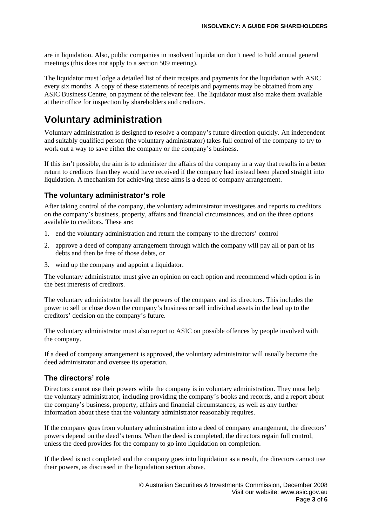are in liquidation. Also, public companies in insolvent liquidation don't need to hold annual general meetings (this does not apply to a section 509 meeting).

The liquidator must lodge a detailed list of their receipts and payments for the liquidation with ASIC every six months. A copy of these statements of receipts and payments may be obtained from any ASIC Business Centre, on payment of the relevant fee. The liquidator must also make them available at their office for inspection by shareholders and creditors.

## **Voluntary administration**

Voluntary administration is designed to resolve a company's future direction quickly. An independent and suitably qualified person (the voluntary administrator) takes full control of the company to try to work out a way to save either the company or the company's business.

If this isn't possible, the aim is to administer the affairs of the company in a way that results in a better return to creditors than they would have received if the company had instead been placed straight into liquidation. A mechanism for achieving these aims is a deed of company arrangement.

#### **The voluntary administrator's role**

After taking control of the company, the voluntary administrator investigates and reports to creditors on the company's business, property, affairs and financial circumstances, and on the three options available to creditors. These are:

- 1. end the voluntary administration and return the company to the directors' control
- 2. approve a deed of company arrangement through which the company will pay all or part of its debts and then be free of those debts, or
- 3. wind up the company and appoint a liquidator.

The voluntary administrator must give an opinion on each option and recommend which option is in the best interests of creditors.

The voluntary administrator has all the powers of the company and its directors. This includes the power to sell or close down the company's business or sell individual assets in the lead up to the creditors' decision on the company's future.

The voluntary administrator must also report to ASIC on possible offences by people involved with the company.

If a deed of company arrangement is approved, the voluntary administrator will usually become the deed administrator and oversee its operation.

#### **The directors' role**

Directors cannot use their powers while the company is in voluntary administration. They must help the voluntary administrator, including providing the company's books and records, and a report about the company's business, property, affairs and financial circumstances, as well as any further information about these that the voluntary administrator reasonably requires.

If the company goes from voluntary administration into a deed of company arrangement, the directors' powers depend on the deed's terms. When the deed is completed, the directors regain full control, unless the deed provides for the company to go into liquidation on completion.

If the deed is not completed and the company goes into liquidation as a result, the directors cannot use their powers, as discussed in the liquidation section above.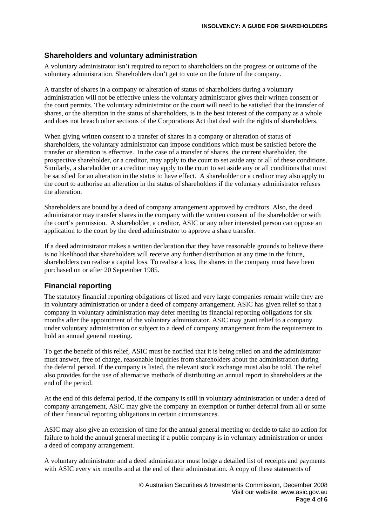#### **Shareholders and voluntary administration**

A voluntary administrator isn't required to report to shareholders on the progress or outcome of the voluntary administration. Shareholders don't get to vote on the future of the company.

A transfer of shares in a company or alteration of status of shareholders during a voluntary administration will not be effective unless the voluntary administrator gives their written consent or the court permits. The voluntary administrator or the court will need to be satisfied that the transfer of shares, or the alteration in the status of shareholders, is in the best interest of the company as a whole and does not breach other sections of the Corporations Act that deal with the rights of shareholders.

When giving written consent to a transfer of shares in a company or alteration of status of shareholders, the voluntary administrator can impose conditions which must be satisfied before the transfer or alteration is effective. In the case of a transfer of shares, the current shareholder, the prospective shareholder, or a creditor, may apply to the court to set aside any or all of these conditions. Similarly, a shareholder or a creditor may apply to the court to set aside any or all conditions that must be satisfied for an alteration in the status to have effect. A shareholder or a creditor may also apply to the court to authorise an alteration in the status of shareholders if the voluntary administrator refuses the alteration.

Shareholders are bound by a deed of company arrangement approved by creditors. Also, the deed administrator may transfer shares in the company with the written consent of the shareholder or with the court's permission. A shareholder, a creditor, ASIC or any other interested person can oppose an application to the court by the deed administrator to approve a share transfer.

If a deed administrator makes a written declaration that they have reasonable grounds to believe there is no likelihood that shareholders will receive any further distribution at any time in the future, shareholders can realise a capital loss. To realise a loss, the shares in the company must have been purchased on or after 20 September 1985.

#### **Financial reporting**

The statutory financial reporting obligations of listed and very large companies remain while they are in voluntary administration or under a deed of company arrangement. ASIC has given relief so that a company in voluntary administration may defer meeting its financial reporting obligations for six months after the appointment of the voluntary administrator. ASIC may grant relief to a company under voluntary administration or subject to a deed of company arrangement from the requirement to hold an annual general meeting.

To get the benefit of this relief, ASIC must be notified that it is being relied on and the administrator must answer, free of charge, reasonable inquiries from shareholders about the administration during the deferral period. If the company is listed, the relevant stock exchange must also be told. The relief also provides for the use of alternative methods of distributing an annual report to shareholders at the end of the period.

At the end of this deferral period, if the company is still in voluntary administration or under a deed of company arrangement, ASIC may give the company an exemption or further deferral from all or some of their financial reporting obligations in certain circumstances.

ASIC may also give an extension of time for the annual general meeting or decide to take no action for failure to hold the annual general meeting if a public company is in voluntary administration or under a deed of company arrangement.

A voluntary administrator and a deed administrator must lodge a detailed list of receipts and payments with ASIC every six months and at the end of their administration. A copy of these statements of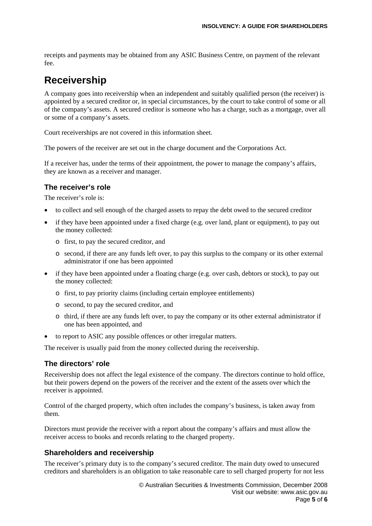receipts and payments may be obtained from any ASIC Business Centre, on payment of the relevant fee.

## **Receivership**

A company goes into receivership when an independent and suitably qualified person (the receiver) is appointed by a secured creditor or, in special circumstances, by the court to take control of some or all of the company's assets. A secured creditor is someone who has a charge, such as a mortgage, over all or some of a company's assets.

Court receiverships are not covered in this information sheet.

The powers of the receiver are set out in the charge document and the Corporations Act.

If a receiver has, under the terms of their appointment, the power to manage the company's affairs, they are known as a receiver and manager.

#### **The receiver's role**

The receiver's role is:

- to collect and sell enough of the charged assets to repay the debt owed to the secured creditor
- if they have been appointed under a fixed charge (e.g. over land, plant or equipment), to pay out the money collected:
	- o first, to pay the secured creditor, and
	- o second, if there are any funds left over, to pay this surplus to the company or its other external administrator if one has been appointed
- if they have been appointed under a floating charge (e.g. over cash, debtors or stock), to pay out the money collected:
	- o first, to pay priority claims (including certain employee entitlements)
	- o second, to pay the secured creditor, and
	- o third, if there are any funds left over, to pay the company or its other external administrator if one has been appointed, and
- to report to ASIC any possible offences or other irregular matters.

The receiver is usually paid from the money collected during the receivership.

#### **The directors' role**

Receivership does not affect the legal existence of the company. The directors continue to hold office, but their powers depend on the powers of the receiver and the extent of the assets over which the receiver is appointed.

Control of the charged property, which often includes the company's business, is taken away from them.

Directors must provide the receiver with a report about the company's affairs and must allow the receiver access to books and records relating to the charged property.

#### **Shareholders and receivership**

The receiver's primary duty is to the company's secured creditor. The main duty owed to unsecured creditors and shareholders is an obligation to take reasonable care to sell charged property for not less